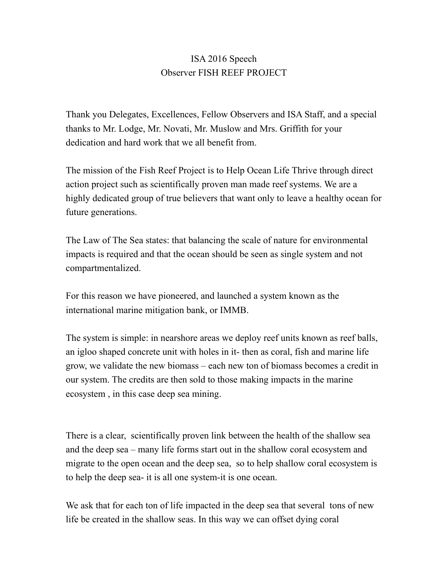## ISA 2016 Speech Observer FISH REEF PROJECT

Thank you Delegates, Excellences, Fellow Observers and ISA Staff, and a special thanks to Mr. Lodge, Mr. Novati, Mr. Muslow and Mrs. Griffith for your dedication and hard work that we all benefit from.

The mission of the Fish Reef Project is to Help Ocean Life Thrive through direct action project such as scientifically proven man made reef systems. We are a highly dedicated group of true believers that want only to leave a healthy ocean for future generations.

The Law of The Sea states: that balancing the scale of nature for environmental impacts is required and that the ocean should be seen as single system and not compartmentalized.

For this reason we have pioneered, and launched a system known as the international marine mitigation bank, or IMMB.

The system is simple: in nearshore areas we deploy reef units known as reef balls, an igloo shaped concrete unit with holes in it- then as coral, fish and marine life grow, we validate the new biomass – each new ton of biomass becomes a credit in our system. The credits are then sold to those making impacts in the marine ecosystem , in this case deep sea mining.

There is a clear, scientifically proven link between the health of the shallow sea and the deep sea – many life forms start out in the shallow coral ecosystem and migrate to the open ocean and the deep sea, so to help shallow coral ecosystem is to help the deep sea- it is all one system-it is one ocean.

We ask that for each ton of life impacted in the deep sea that several tons of new life be created in the shallow seas. In this way we can offset dying coral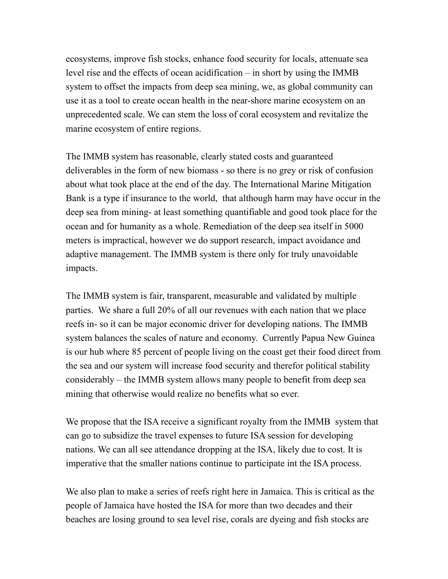ecosystems, improve fish stocks, enhance food security for locals, attenuate sea level rise and the effects of ocean acidification – in short by using the IMMB system to offset the impacts from deep sea mining, we, as global community can use it as a tool to create ocean health in the near-shore marine ecosystem on an unprecedented scale. We can stem the loss of coral ecosystem and revitalize the marine ecosystem of entire regions.

The IMMB system has reasonable, clearly stated costs and guaranteed deliverables in the form of new biomass - so there is no grey or risk of confusion about what took place at the end of the day. The International Marine Mitigation Bank is a type if insurance to the world, that although harm may have occur in the deep sea from mining- at least something quantifiable and good took place for the ocean and for humanity as a whole. Remediation of the deep sea itself in 5000 meters is impractical, however we do support research, impact avoidance and adaptive management. The IMMB system is there only for truly unavoidable impacts.

The IMMB system is fair, transparent, measurable and validated by multiple parties. We share a full 20% of all our revenues with each nation that we place reefs in- so it can be major economic driver for developing nations. The IMMB system balances the scales of nature and economy. Currently Papua New Guinea is our hub where 85 percent of people living on the coast get their food direct from the sea and our system will increase food security and therefor political stability considerably – the IMMB system allows many people to benefit from deep sea mining that otherwise would realize no benefits what so ever.

We propose that the ISA receive a significant royalty from the IMMB system that can go to subsidize the travel expenses to future ISA session for developing nations. We can all see attendance dropping at the ISA, likely due to cost. It is imperative that the smaller nations continue to participate int the ISA process.

We also plan to make a series of reefs right here in Jamaica. This is critical as the people of Jamaica have hosted the ISA for more than two decades and their beaches are losing ground to sea level rise, corals are dyeing and fish stocks are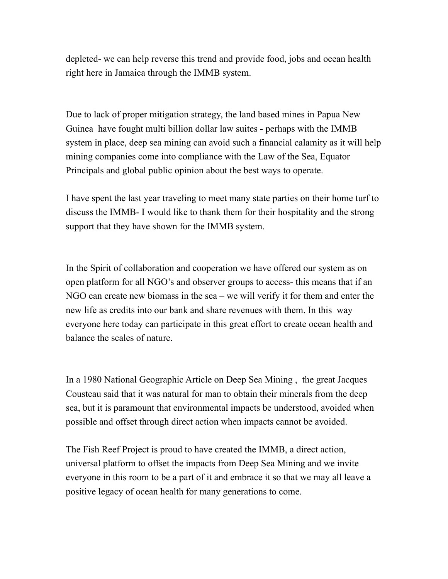depleted- we can help reverse this trend and provide food, jobs and ocean health right here in Jamaica through the IMMB system.

Due to lack of proper mitigation strategy, the land based mines in Papua New Guinea have fought multi billion dollar law suites - perhaps with the IMMB system in place, deep sea mining can avoid such a financial calamity as it will help mining companies come into compliance with the Law of the Sea, Equator Principals and global public opinion about the best ways to operate.

I have spent the last year traveling to meet many state parties on their home turf to discuss the IMMB- I would like to thank them for their hospitality and the strong support that they have shown for the IMMB system.

In the Spirit of collaboration and cooperation we have offered our system as on open platform for all NGO's and observer groups to access- this means that if an NGO can create new biomass in the sea – we will verify it for them and enter the new life as credits into our bank and share revenues with them. In this way everyone here today can participate in this great effort to create ocean health and balance the scales of nature.

In a 1980 National Geographic Article on Deep Sea Mining , the great Jacques Cousteau said that it was natural for man to obtain their minerals from the deep sea, but it is paramount that environmental impacts be understood, avoided when possible and offset through direct action when impacts cannot be avoided.

The Fish Reef Project is proud to have created the IMMB, a direct action, universal platform to offset the impacts from Deep Sea Mining and we invite everyone in this room to be a part of it and embrace it so that we may all leave a positive legacy of ocean health for many generations to come.